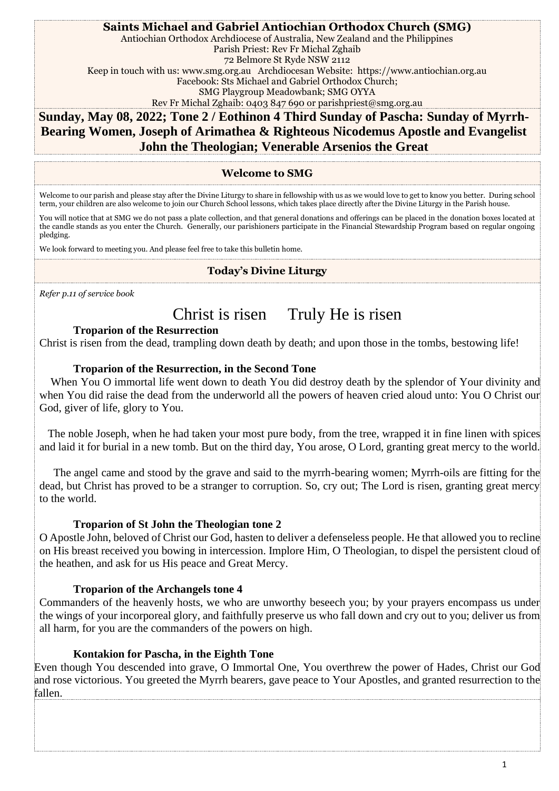## **Saints Michael and Gabriel Antiochian Orthodox Church (SMG)**

Antiochian Orthodox Archdiocese of Australia, New Zealand and the Philippines Parish Priest: Rev Fr Michal Zghaib 72 Belmore St Ryde NSW 2112 Keep in touch with us: [www.smg.org.au Archdiocesan](about:blank) Website: [https://www.antiochian.org.au](about:blank) Facebook: Sts Michael and Gabriel Orthodox Church; SMG Playgroup Meadowbank; SMG OYYA Rev Fr Michal Zghaib: 0403 847 690 or [parishpriest@smg.org.au](about:blank) 

**Sunday, May 08, 2022; Tone 2 / Eothinon 4 Third Sunday of Pascha: Sunday of Myrrh-Bearing Women, Joseph of Arimathea & Righteous Nicodemus Apostle and Evangelist John the Theologian; Venerable Arsenios the Great**

#### **Welcome to SMG**

Welcome to our parish and please stay after the Divine Liturgy to share in fellowship with us as we would love to get to know you better. During school term, your children are also welcome to join our Church School lessons, which takes place directly after the Divine Liturgy in the Parish house.

You will notice that at SMG we do not pass a plate collection, and that general donations and offerings can be placed in the donation boxes located at the candle stands as you enter the Church. Generally, our parishioners participate in the Financial Stewardship Program based on regular ongoing pledging.

We look forward to meeting you. And please feel free to take this bulletin home.

## **Today's Divine Liturgy**

*Refer p.11 of service book*

# Christ is risen Truly He is risen

## **Troparion of the Resurrection**

Christ is risen from the dead, trampling down death by death; and upon those in the tombs, bestowing life!

## **Troparion of the Resurrection, in the Second Tone**

 When You O immortal life went down to death You did destroy death by the splendor of Your divinity and when You did raise the dead from the underworld all the powers of heaven cried aloud unto: You O Christ our God, giver of life, glory to You.

 The noble Joseph, when he had taken your most pure body, from the tree, wrapped it in fine linen with spices and laid it for burial in a new tomb. But on the third day, You arose, O Lord, granting great mercy to the world.

 The angel came and stood by the grave and said to the myrrh-bearing women; Myrrh-oils are fitting for the dead, but Christ has proved to be a stranger to corruption. So, cry out; The Lord is risen, granting great mercy to the world.

## **Troparion of St John the Theologian tone 2**

O Apostle John, beloved of Christ our God, hasten to deliver a defenseless people. He that allowed you to recline on His breast received you bowing in intercession. Implore Him, O Theologian, to dispel the persistent cloud of the heathen, and ask for us His peace and Great Mercy.

### **Troparion of the Archangels tone 4**

Commanders of the heavenly hosts, we who are unworthy beseech you; by your prayers encompass us under the wings of your incorporeal glory, and faithfully preserve us who fall down and cry out to you; deliver us from all harm, for you are the commanders of the powers on high.

## **Kontakion for Pascha, in the Eighth Tone**

Even though You descended into grave, O Immortal One, You overthrew the power of Hades, Christ our God and rose victorious. You greeted the Myrrh bearers, gave peace to Your Apostles, and granted resurrection to the fallen.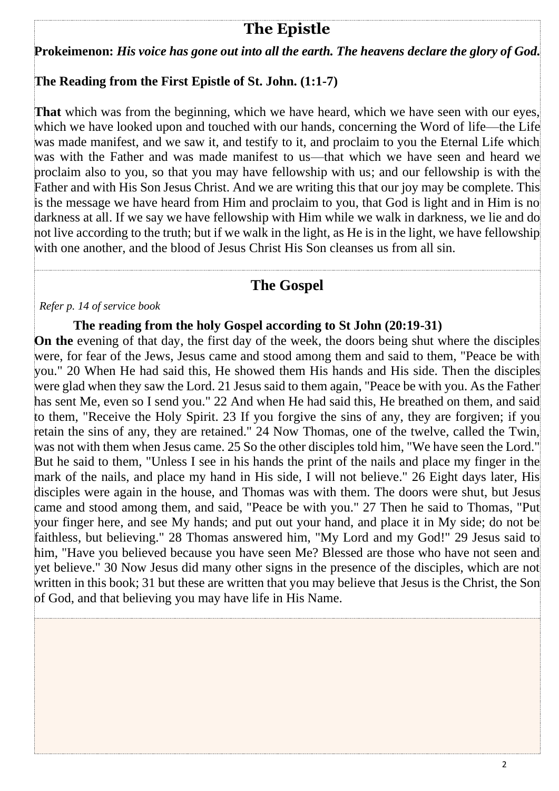# **The Epistle**

**Prokeimenon:** *His voice has gone out into all the earth. The heavens declare the glory of God.*

# **The Reading from the First Epistle of St. John. (1:1-7)**

**That** which was from the beginning, which we have heard, which we have seen with our eyes, which we have looked upon and touched with our hands, concerning the Word of life—the Life was made manifest, and we saw it, and testify to it, and proclaim to you the Eternal Life which was with the Father and was made manifest to us—that which we have seen and heard we proclaim also to you, so that you may have fellowship with us; and our fellowship is with the Father and with His Son Jesus Christ. And we are writing this that our joy may be complete. This is the message we have heard from Him and proclaim to you, that God is light and in Him is no darkness at all. If we say we have fellowship with Him while we walk in darkness, we lie and do not live according to the truth; but if we walk in the light, as He is in the light, we have fellowship with one another, and the blood of Jesus Christ His Son cleanses us from all sin.

# **The Gospel**

## *Refer p. 14 of service book*

# **The reading from the holy Gospel according to St John (20:19-31)**

**On the** evening of that day, the first day of the week, the doors being shut where the disciples were, for fear of the Jews, Jesus came and stood among them and said to them, "Peace be with you." 20 When He had said this, He showed them His hands and His side. Then the disciples were glad when they saw the Lord. 21 Jesus said to them again, "Peace be with you. As the Father has sent Me, even so I send you." 22 And when He had said this, He breathed on them, and said to them, "Receive the Holy Spirit. 23 If you forgive the sins of any, they are forgiven; if you retain the sins of any, they are retained." 24 Now Thomas, one of the twelve, called the Twin, was not with them when Jesus came. 25 So the other disciples told him, "We have seen the Lord." But he said to them, "Unless I see in his hands the print of the nails and place my finger in the mark of the nails, and place my hand in His side, I will not believe." 26 Eight days later, His disciples were again in the house, and Thomas was with them. The doors were shut, but Jesus came and stood among them, and said, "Peace be with you." 27 Then he said to Thomas, "Put your finger here, and see My hands; and put out your hand, and place it in My side; do not be faithless, but believing." 28 Thomas answered him, "My Lord and my God!" 29 Jesus said to him, "Have you believed because you have seen Me? Blessed are those who have not seen and yet believe." 30 Now Jesus did many other signs in the presence of the disciples, which are not written in this book; 31 but these are written that you may believe that Jesus is the Christ, the Son of God, and that believing you may have life in His Name.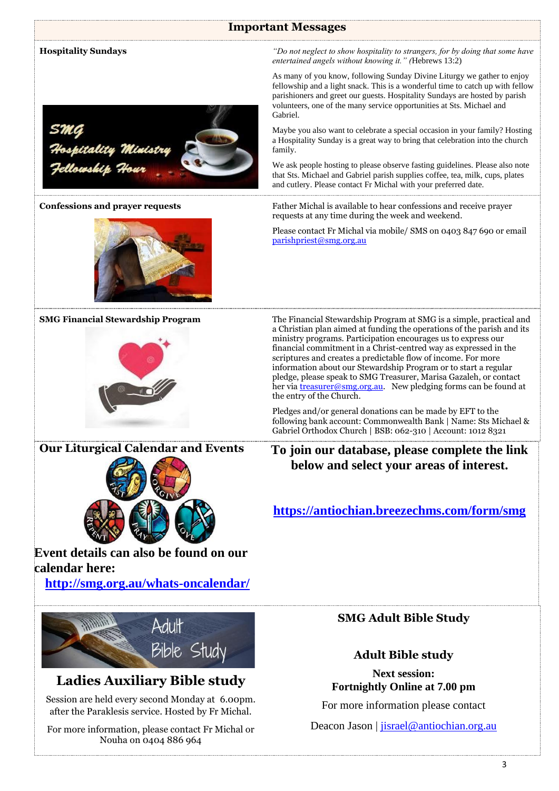## **Important Messages**

Gabriel.

family.

**Hospitality Sundays** *"Do not neglect to show hospitality to strangers, for by doing that some have entertained angels without knowing it." (*Hebrews 13:2)

> As many of you know, following Sunday Divine Liturgy we gather to enjoy fellowship and a light snack. This is a wonderful time to catch up with fellow parishioners and greet our guests. Hospitality Sundays are hosted by parish volunteers, one of the many service opportunities at Sts. Michael and

> Maybe you also want to celebrate a special occasion in your family? Hosting a Hospitality Sunday is a great way to bring that celebration into the church

> We ask people hosting to please observe fasting guidelines. Please also note that Sts. Michael and Gabriel parish supplies coffee, tea, milk, cups, plates

Please contact Fr Michal via mobile/ SMS on 0403 847 690 or email

and cutlery. Please contact Fr Michal with your preferred date.

requests at any time during the week and weekend.

[parishpriest@smg.org.au](about:blank)

tu Miuistru

**Confessions and prayer requests** Father Michal is available to hear confessions and receive prayer



#### **SMG Financial Stewardship Program** The Financial Stewardship Program at SMG is a simple, practical and



**Our Liturgical Calendar and Events**

a Christian plan aimed at funding the operations of the parish and its ministry programs. Participation encourages us to express our financial commitment in a Christ-centred way as expressed in the scriptures and creates a predictable flow of income. For more information about our Stewardship Program or to start a regular pledge, please speak to SMG Treasurer, Marisa Gazaleh, or contact her vi[a treasurer@smg.org.au.](about:blank) New pledging forms can be found at the entry of the Church.

Pledges and/or general donations can be made by EFT to the following bank account: Commonwealth Bank | Name: Sts Michael & Gabriel Orthodox Church | BSB: 062-310 | Account: 1012 8321

**To join our database, please complete the link below and select your areas of interest.**

**[https://antiochian.breezechms.com/form/smg](about:blank)**

## **Event details can also be found on our calendar here:**

**[http://smg.org.au/whats-oncalendar/](about:blank)** 



# **Ladies Auxiliary Bible study**

Session are held every second Monday at 6.00pm. after the Paraklesis service. Hosted by Fr Michal.

For more information, please contact Fr Michal or Nouha on 0404 886 964

## **SMG Adult Bible Study**

## **Adult Bible study**

**Next session: Fortnightly Online at 7.00 pm**

For more information please contact

Deacon Jason | [jisrael@antiochian.org.au](about:blank)

3